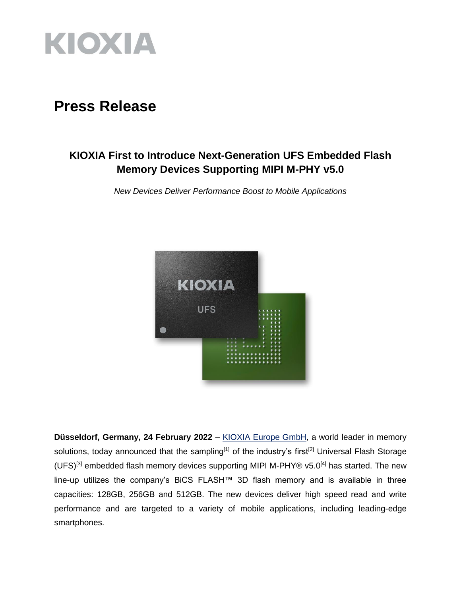

# **Press Release**

## **KIOXIA First to Introduce Next-Generation UFS Embedded Flash Memory Devices Supporting MIPI M-PHY v5.0**

*New Devices Deliver Performance Boost to Mobile Applications*



**Düsseldorf, Germany, 24 February 2022** – [KIOXIA Europe GmbH,](https://www.kioxia.com/en-emea/top.html) a world leader in memory solutions, today announced that the sampling<sup>[1]</sup> of the industry's first<sup>[2]</sup> Universal Flash Storage (UFS)<sup>[3]</sup> embedded flash memory devices supporting MIPI M-PHY® v5.0<sup>[4]</sup> has started. The new line-up utilizes the company's BiCS FLASH™ 3D flash memory and is available in three capacities: 128GB, 256GB and 512GB. The new devices deliver high speed read and write performance and are targeted to a variety of mobile applications, including leading-edge smartphones.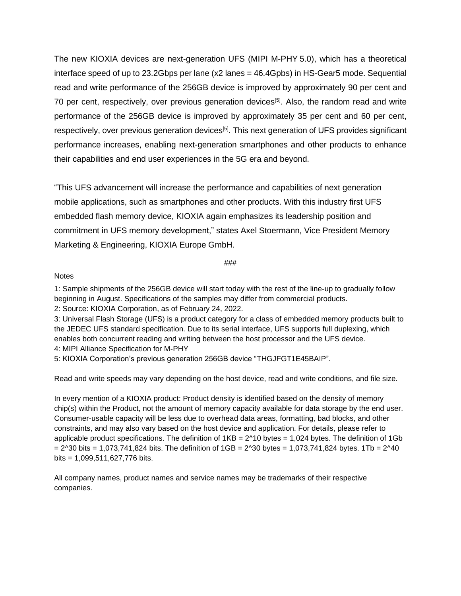The new KIOXIA devices are next-generation UFS (MIPI M-PHY 5.0), which has a theoretical interface speed of up to 23.2Gbps per lane (x2 lanes = 46.4Gpbs) in HS-Gear5 mode. Sequential read and write performance of the 256GB device is improved by approximately 90 per cent and 70 per cent, respectively, over previous generation devices<sup>[5]</sup>. Also, the random read and write performance of the 256GB device is improved by approximately 35 per cent and 60 per cent, respectively, over previous generation devices<sup>[5]</sup>. This next generation of UFS provides significant performance increases, enabling next-generation smartphones and other products to enhance their capabilities and end user experiences in the 5G era and beyond.

"This UFS advancement will increase the performance and capabilities of next generation mobile applications, such as smartphones and other products. With this industry first UFS embedded flash memory device, KIOXIA again emphasizes its leadership position and commitment in UFS memory development," states Axel Stoermann, Vice President Memory Marketing & Engineering, KIOXIA Europe GmbH.

###

#### **Notes**

1: Sample shipments of the 256GB device will start today with the rest of the line-up to gradually follow beginning in August. Specifications of the samples may differ from commercial products.

2: Source: KIOXIA Corporation, as of February 24, 2022.

3: Universal Flash Storage (UFS) is a product category for a class of embedded memory products built to the JEDEC UFS standard specification. Due to its serial interface, UFS supports full duplexing, which enables both concurrent reading and writing between the host processor and the UFS device. 4: MIPI Alliance Specification for M-PHY

5: KIOXIA Corporation's previous generation 256GB device "THGJFGT1E45BAIP".

Read and write speeds may vary depending on the host device, read and write conditions, and file size.

In every mention of a KIOXIA product: Product density is identified based on the density of memory chip(s) within the Product, not the amount of memory capacity available for data storage by the end user. Consumer-usable capacity will be less due to overhead data areas, formatting, bad blocks, and other constraints, and may also vary based on the host device and application. For details, please refer to applicable product specifications. The definition of  $1KB = 2^{\wedge}10$  bytes = 1,024 bytes. The definition of 1Gb  $= 2^{\text{4}}30$  bits = 1,073,741,824 bits. The definition of 1GB = 2^30 bytes = 1,073,741,824 bytes. 1Tb = 2^40 bits = 1,099,511,627,776 bits.

All company names, product names and service names may be trademarks of their respective companies.